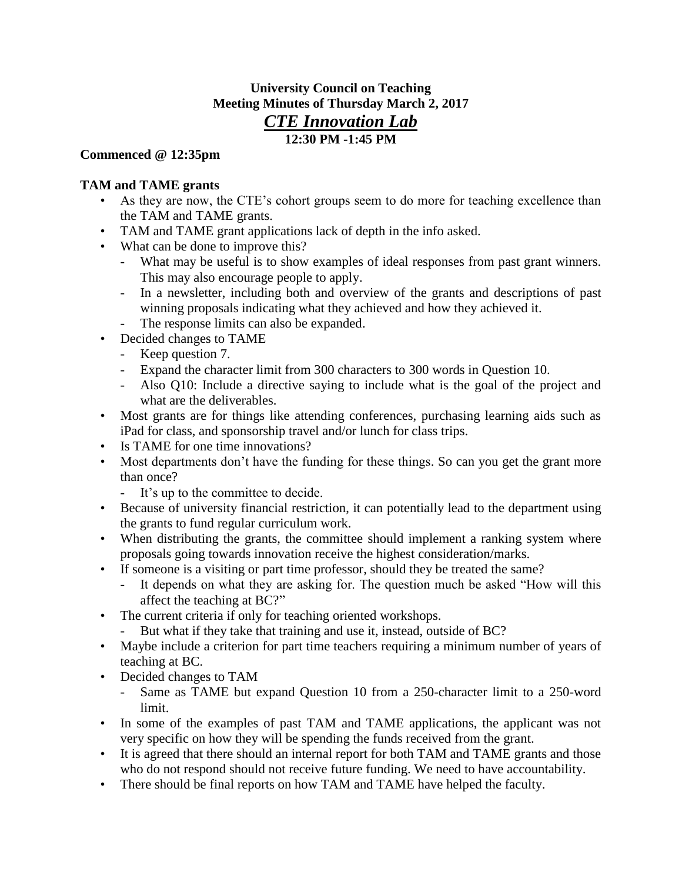# **University Council on Teaching Meeting Minutes of Thursday March 2, 2017** *CTE Innovation Lab* **12:30 PM -1:45 PM**

#### **Commenced @ 12:35pm**

## **TAM and TAME grants**

- As they are now, the CTE's cohort groups seem to do more for teaching excellence than the TAM and TAME grants.
- TAM and TAME grant applications lack of depth in the info asked.
- What can be done to improve this?
	- What may be useful is to show examples of ideal responses from past grant winners. This may also encourage people to apply.
	- In a newsletter, including both and overview of the grants and descriptions of past winning proposals indicating what they achieved and how they achieved it.
	- The response limits can also be expanded.
- Decided changes to TAME
	- Keep question 7.
	- Expand the character limit from 300 characters to 300 words in Question 10.
	- Also Q10: Include a directive saying to include what is the goal of the project and what are the deliverables.
- Most grants are for things like attending conferences, purchasing learning aids such as iPad for class, and sponsorship travel and/or lunch for class trips.
- Is TAME for one time innovations?
- Most departments don't have the funding for these things. So can you get the grant more than once?
	- It's up to the committee to decide.
- Because of university financial restriction, it can potentially lead to the department using the grants to fund regular curriculum work.
- When distributing the grants, the committee should implement a ranking system where proposals going towards innovation receive the highest consideration/marks.
- If someone is a visiting or part time professor, should they be treated the same?
	- It depends on what they are asking for. The question much be asked "How will this affect the teaching at BC?"
- The current criteria if only for teaching oriented workshops.
	- But what if they take that training and use it, instead, outside of BC?
- Maybe include a criterion for part time teachers requiring a minimum number of years of teaching at BC.
- Decided changes to TAM
	- Same as TAME but expand Question 10 from a 250-character limit to a 250-word limit.
- In some of the examples of past TAM and TAME applications, the applicant was not very specific on how they will be spending the funds received from the grant.
- It is agreed that there should an internal report for both TAM and TAME grants and those who do not respond should not receive future funding. We need to have accountability.
- There should be final reports on how TAM and TAME have helped the faculty.